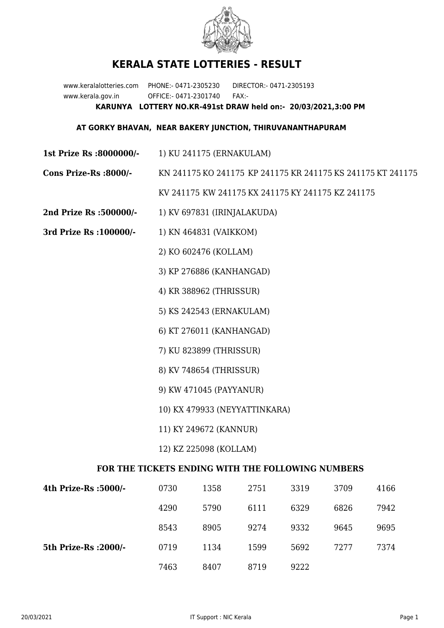

## **KERALA STATE LOTTERIES - RESULT**

www.keralalotteries.com PHONE:- 0471-2305230 DIRECTOR:- 0471-2305193 www.kerala.gov.in OFFICE:- 0471-2301740 FAX:- **KARUNYA LOTTERY NO.KR-491st DRAW held on:- 20/03/2021,3:00 PM**

## **AT GORKY BHAVAN, NEAR BAKERY JUNCTION, THIRUVANANTHAPURAM**

- **1st Prize Rs :8000000/-** 1) KU 241175 (ERNAKULAM)
- **Cons Prize-Rs :8000/-** KN 241175 KO 241175 KP 241175 KR 241175 KS 241175 KT 241175 KV 241175 KW 241175 KX 241175 KY 241175 KZ 241175
- **2nd Prize Rs :500000/-** 1) KV 697831 (IRINJALAKUDA)
- **3rd Prize Rs :100000/-** 1) KN 464831 (VAIKKOM)
	- 2) KO 602476 (KOLLAM)
	- 3) KP 276886 (KANHANGAD)
	- 4) KR 388962 (THRISSUR)
	- 5) KS 242543 (ERNAKULAM)
	- 6) KT 276011 (KANHANGAD)
	- 7) KU 823899 (THRISSUR)
	- 8) KV 748654 (THRISSUR)
	- 9) KW 471045 (PAYYANUR)
	- 10) KX 479933 (NEYYATTINKARA)
	- 11) KY 249672 (KANNUR)
	- 12) KZ 225098 (KOLLAM)

## **FOR THE TICKETS ENDING WITH THE FOLLOWING NUMBERS**

| 4th Prize-Rs :5000/-  | 0730 | 1358 | 2751 | 3319 | 3709 | 4166 |
|-----------------------|------|------|------|------|------|------|
|                       | 4290 | 5790 | 6111 | 6329 | 6826 | 7942 |
|                       | 8543 | 8905 | 9274 | 9332 | 9645 | 9695 |
| 5th Prize-Rs : 2000/- | 0719 | 1134 | 1599 | 5692 | 7277 | 7374 |
|                       | 7463 | 8407 | 8719 | 9222 |      |      |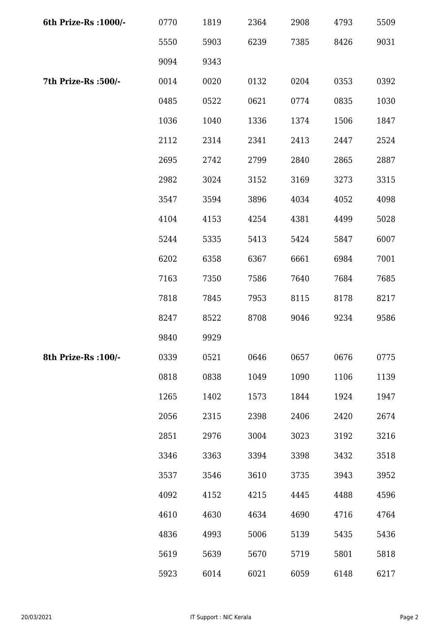| 6th Prize-Rs : 1000/- | 0770 | 1819 | 2364 | 2908 | 4793 | 5509 |
|-----------------------|------|------|------|------|------|------|
|                       | 5550 | 5903 | 6239 | 7385 | 8426 | 9031 |
|                       | 9094 | 9343 |      |      |      |      |
| 7th Prize-Rs :500/-   | 0014 | 0020 | 0132 | 0204 | 0353 | 0392 |
|                       | 0485 | 0522 | 0621 | 0774 | 0835 | 1030 |
|                       | 1036 | 1040 | 1336 | 1374 | 1506 | 1847 |
|                       | 2112 | 2314 | 2341 | 2413 | 2447 | 2524 |
|                       | 2695 | 2742 | 2799 | 2840 | 2865 | 2887 |
|                       | 2982 | 3024 | 3152 | 3169 | 3273 | 3315 |
|                       | 3547 | 3594 | 3896 | 4034 | 4052 | 4098 |
|                       | 4104 | 4153 | 4254 | 4381 | 4499 | 5028 |
|                       | 5244 | 5335 | 5413 | 5424 | 5847 | 6007 |
|                       | 6202 | 6358 | 6367 | 6661 | 6984 | 7001 |
|                       | 7163 | 7350 | 7586 | 7640 | 7684 | 7685 |
|                       | 7818 | 7845 | 7953 | 8115 | 8178 | 8217 |
|                       | 8247 | 8522 | 8708 | 9046 | 9234 | 9586 |
|                       | 9840 | 9929 |      |      |      |      |
| 8th Prize-Rs : 100/-  | 0339 | 0521 | 0646 | 0657 | 0676 | 0775 |
|                       | 0818 | 0838 | 1049 | 1090 | 1106 | 1139 |
|                       | 1265 | 1402 | 1573 | 1844 | 1924 | 1947 |
|                       | 2056 | 2315 | 2398 | 2406 | 2420 | 2674 |
|                       | 2851 | 2976 | 3004 | 3023 | 3192 | 3216 |
|                       | 3346 | 3363 | 3394 | 3398 | 3432 | 3518 |
|                       | 3537 | 3546 | 3610 | 3735 | 3943 | 3952 |
|                       | 4092 | 4152 | 4215 | 4445 | 4488 | 4596 |
|                       | 4610 | 4630 | 4634 | 4690 | 4716 | 4764 |
|                       | 4836 | 4993 | 5006 | 5139 | 5435 | 5436 |
|                       | 5619 | 5639 | 5670 | 5719 | 5801 | 5818 |
|                       | 5923 | 6014 | 6021 | 6059 | 6148 | 6217 |